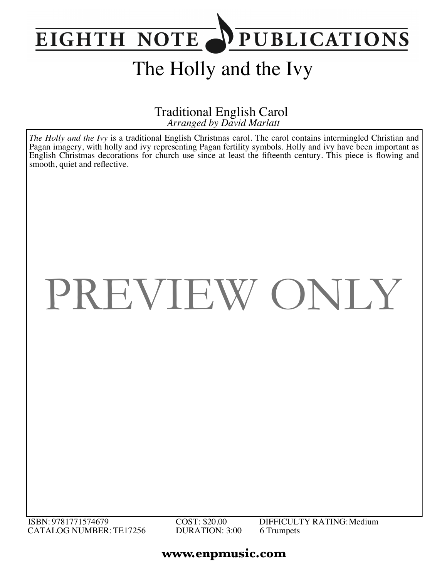### PUBLICATIONS **EIGHTH NOTE**

### The Holly and the Ivy

*Arranged by David Marlatt* Traditional English Carol

*The Holly and the Ivy* is a traditional English Christmas carol. The carol contains intermingled Christian and Pagan imagery, with holly and ivy representing Pagan fertility symbols. Holly and ivy have been important as English Christmas decorations for church use since at least the fifteenth century. This piece is flowing and smooth, quiet and reflective.

## PREVIEW ONLY

ISBN: 9781771574679 CATALOG NUMBER: TE17256 COST: \$20.00 DURATION: 3:00

DIFFICULTY RATING:Medium 6 Trumpets

#### **www.enpmusic.com**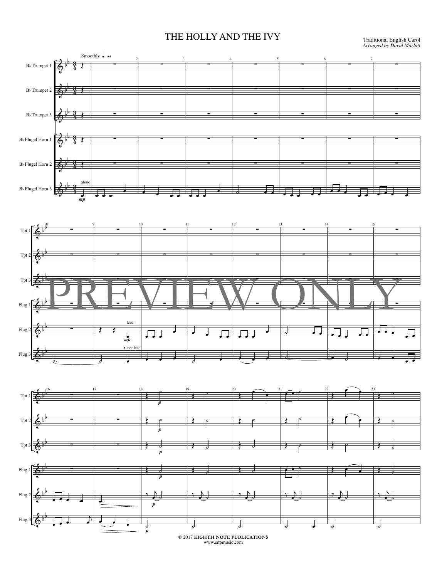#### THE HOLLY AND THE IVY

*Arranged by David Marlatt*



© 2017 **EIGHTH NOTE PUBLICATIONS** www.enpmusic.com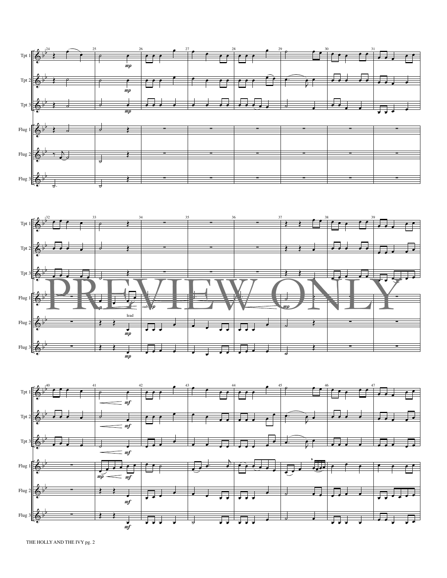





THE HOLLY AND THE IVY pg. 2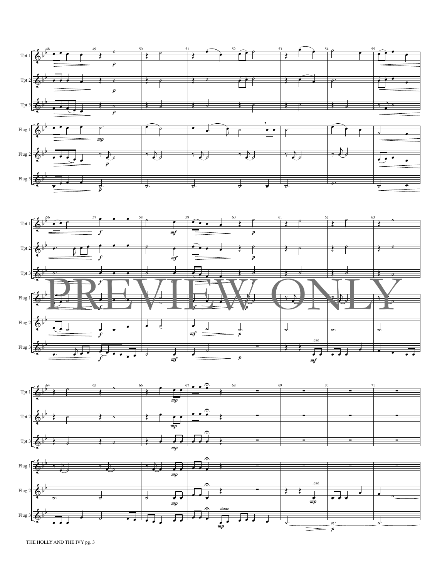





THE HOLLY AND THE IVY pg. 3